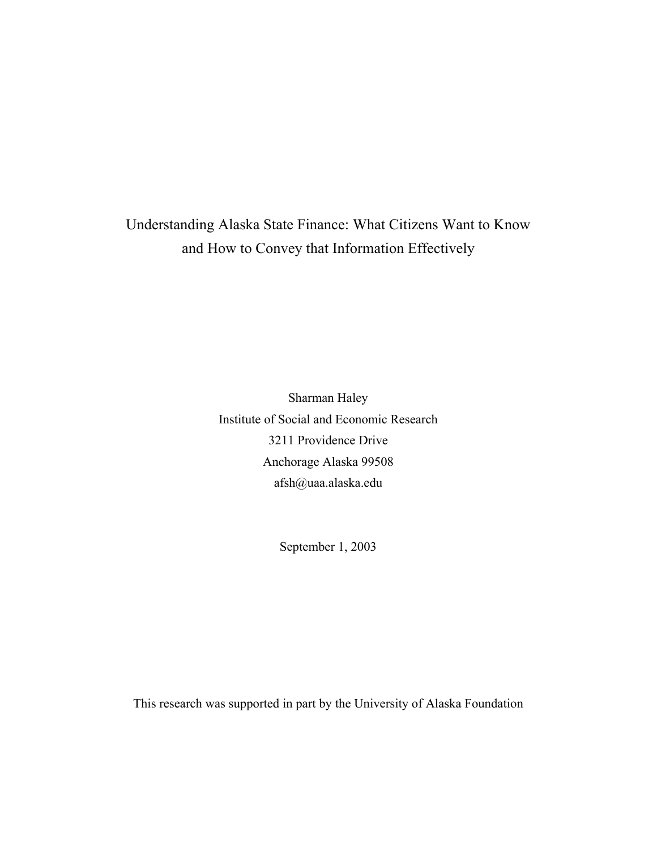# Understanding Alaska State Finance: What Citizens Want to Know and How to Convey that Information Effectively

Sharman Haley Institute of Social and Economic Research 3211 Providence Drive Anchorage Alaska 99508 afsh@uaa.alaska.edu

September 1, 2003

This research was supported in part by the University of Alaska Foundation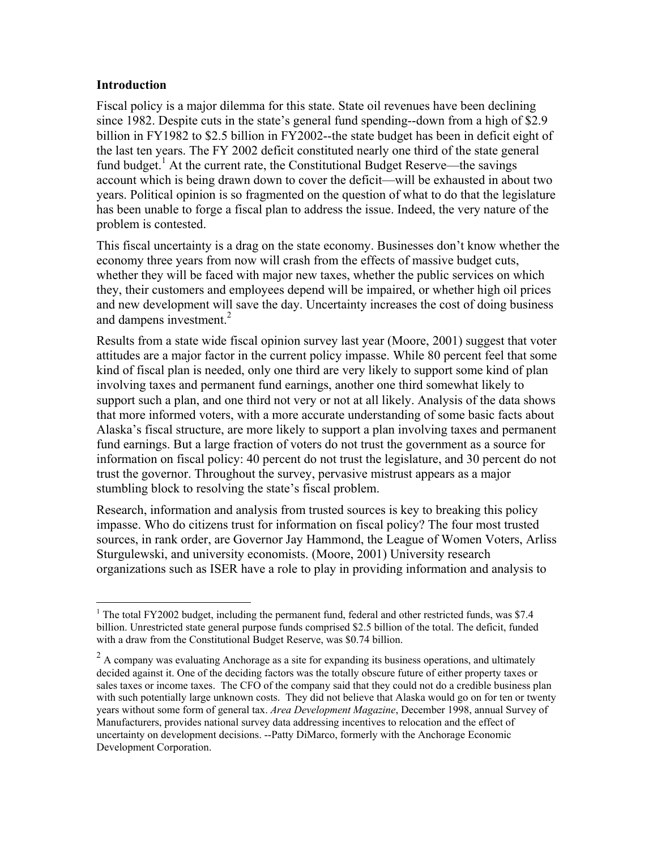## **Introduction**

Fiscal policy is a major dilemma for this state. State oil revenues have been declining since 1982. Despite cuts in the state's general fund spending--down from a high of \$2.9 billion in FY1982 to \$2.5 billion in FY2002--the state budget has been in deficit eight of the last ten years. The FY 2002 deficit constituted nearly one third of the state general fund budget.<sup>1</sup> At the current rate, the Constitutional Budget Reserve—the savings account which is being drawn down to cover the deficit—will be exhausted in about two years. Political opinion is so fragmented on the question of what to do that the legislature has been unable to forge a fiscal plan to address the issue. Indeed, the very nature of the problem is contested.

This fiscal uncertainty is a drag on the state economy. Businesses don't know whether the economy three years from now will crash from the effects of massive budget cuts, whether they will be faced with major new taxes, whether the public services on which they, their customers and employees depend will be impaired, or whether high oil prices and new development will save the day. Uncertainty increases the cost of doing business and dampens investment.<sup>2</sup>

Results from a state wide fiscal opinion survey last year (Moore, 2001) suggest that voter attitudes are a major factor in the current policy impasse. While 80 percent feel that some kind of fiscal plan is needed, only one third are very likely to support some kind of plan involving taxes and permanent fund earnings, another one third somewhat likely to support such a plan, and one third not very or not at all likely. Analysis of the data shows that more informed voters, with a more accurate understanding of some basic facts about Alaska's fiscal structure, are more likely to support a plan involving taxes and permanent fund earnings. But a large fraction of voters do not trust the government as a source for information on fiscal policy: 40 percent do not trust the legislature, and 30 percent do not trust the governor. Throughout the survey, pervasive mistrust appears as a major stumbling block to resolving the state's fiscal problem.

Research, information and analysis from trusted sources is key to breaking this policy impasse. Who do citizens trust for information on fiscal policy? The four most trusted sources, in rank order, are Governor Jay Hammond, the League of Women Voters, Arliss Sturgulewski, and university economists. (Moore, 2001) University research organizations such as ISER have a role to play in providing information and analysis to

 $\overline{a}$ <sup>1</sup> The total FY2002 budget, including the permanent fund, federal and other restricted funds, was \$7.4 billion. Unrestricted state general purpose funds comprised \$2.5 billion of the total. The deficit, funded with a draw from the Constitutional Budget Reserve, was \$0.74 billion.

 $2^2$  A company was evaluating Anchorage as a site for expanding its business operations, and ultimately decided against it. One of the deciding factors was the totally obscure future of either property taxes or sales taxes or income taxes. The CFO of the company said that they could not do a credible business plan with such potentially large unknown costs. They did not believe that Alaska would go on for ten or twenty years without some form of general tax. *Area Development Magazine*, December 1998, annual Survey of Manufacturers, provides national survey data addressing incentives to relocation and the effect of uncertainty on development decisions. --Patty DiMarco, formerly with the Anchorage Economic Development Corporation.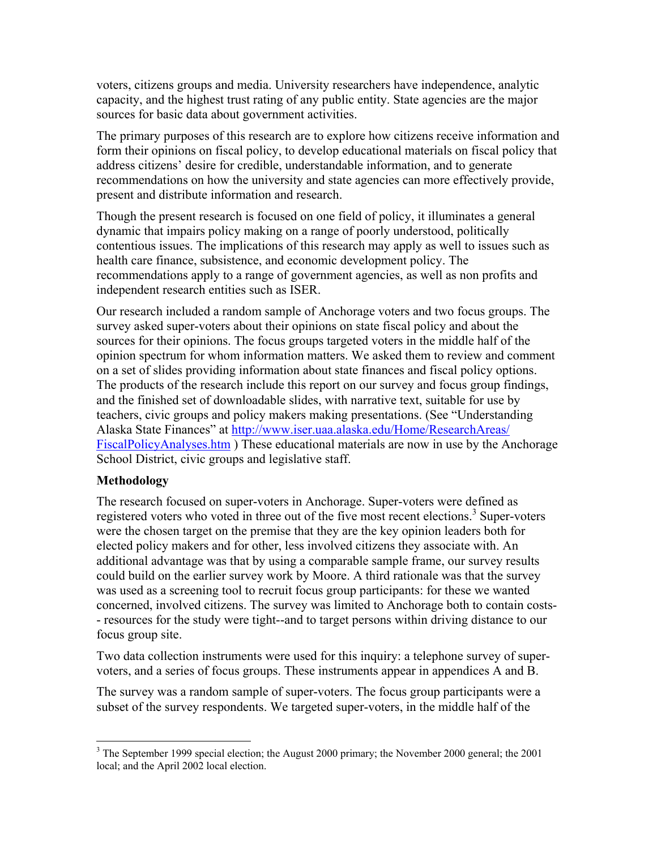voters, citizens groups and media. University researchers have independence, analytic capacity, and the highest trust rating of any public entity. State agencies are the major sources for basic data about government activities.

The primary purposes of this research are to explore how citizens receive information and form their opinions on fiscal policy, to develop educational materials on fiscal policy that address citizens' desire for credible, understandable information, and to generate recommendations on how the university and state agencies can more effectively provide, present and distribute information and research.

Though the present research is focused on one field of policy, it illuminates a general dynamic that impairs policy making on a range of poorly understood, politically contentious issues. The implications of this research may apply as well to issues such as health care finance, subsistence, and economic development policy. The recommendations apply to a range of government agencies, as well as non profits and independent research entities such as ISER.

Our research included a random sample of Anchorage voters and two focus groups. The survey asked super-voters about their opinions on state fiscal policy and about the sources for their opinions. The focus groups targeted voters in the middle half of the opinion spectrum for whom information matters. We asked them to review and comment on a set of slides providing information about state finances and fiscal policy options. The products of the research include this report on our survey and focus group findings, and the finished set of downloadable slides, with narrative text, suitable for use by teachers, civic groups and policy makers making presentations. (See "Understanding Alaska State Finances" at http://www.iser.uaa.alaska.edu/Home/ResearchAreas/ FiscalPolicyAnalyses.htm ) These educational materials are now in use by the Anchorage School District, civic groups and legislative staff.

# **Methodology**

The research focused on super-voters in Anchorage. Super-voters were defined as registered voters who voted in three out of the five most recent elections.<sup>3</sup> Super-voters were the chosen target on the premise that they are the key opinion leaders both for elected policy makers and for other, less involved citizens they associate with. An additional advantage was that by using a comparable sample frame, our survey results could build on the earlier survey work by Moore. A third rationale was that the survey was used as a screening tool to recruit focus group participants: for these we wanted concerned, involved citizens. The survey was limited to Anchorage both to contain costs- - resources for the study were tight--and to target persons within driving distance to our focus group site.

Two data collection instruments were used for this inquiry: a telephone survey of supervoters, and a series of focus groups. These instruments appear in appendices A and B.

The survey was a random sample of super-voters. The focus group participants were a subset of the survey respondents. We targeted super-voters, in the middle half of the

<sup>&</sup>lt;sup>3</sup> The September 1999 special election; the August 2000 primary; the November 2000 general; the 2001 local; and the April 2002 local election.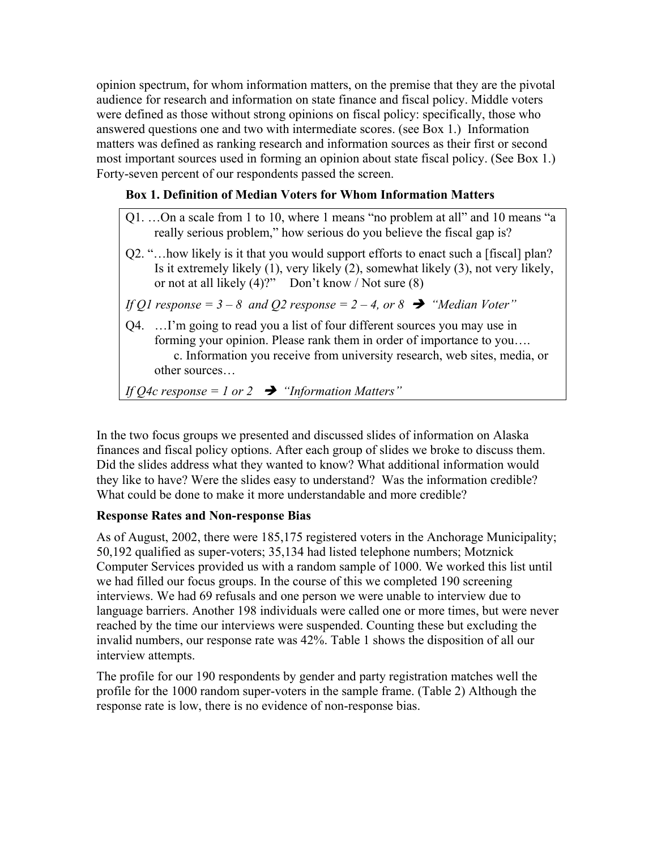opinion spectrum, for whom information matters, on the premise that they are the pivotal audience for research and information on state finance and fiscal policy. Middle voters were defined as those without strong opinions on fiscal policy: specifically, those who answered questions one and two with intermediate scores. (see Box 1.) Information matters was defined as ranking research and information sources as their first or second most important sources used in forming an opinion about state fiscal policy. (See Box 1.) Forty-seven percent of our respondents passed the screen.

# **Box 1. Definition of Median Voters for Whom Information Matters**

| Q1. On a scale from 1 to 10, where 1 means "no problem at all" and 10 means "a<br>really serious problem," how serious do you believe the fiscal gap is?                                                                                                                                                                                                                             |
|--------------------------------------------------------------------------------------------------------------------------------------------------------------------------------------------------------------------------------------------------------------------------------------------------------------------------------------------------------------------------------------|
| Q2. " how likely is it that you would support efforts to enact such a [fiscal] plan?<br>Is it extremely likely (1), very likely (2), somewhat likely (3), not very likely,<br>or not at all likely $(4)$ ?" Don't know / Not sure $(8)$                                                                                                                                              |
| If Q1 response = $3-8$ and Q2 response = $2-4$ , or $8 \rightarrow$ "Median Voter"                                                                                                                                                                                                                                                                                                   |
| Q4.  I'm going to read you a list of four different sources you may use in<br>forming your opinion. Please rank them in order of importance to you<br>c. Information you receive from university research, web sites, media, or<br>other sources                                                                                                                                     |
| $\overline{1}$ $\overline{1}$ $\overline{1}$ $\overline{1}$ $\overline{1}$ $\overline{1}$ $\overline{1}$ $\overline{1}$ $\overline{1}$ $\overline{1}$ $\overline{1}$ $\overline{1}$ $\overline{1}$ $\overline{1}$ $\overline{1}$ $\overline{1}$ $\overline{1}$ $\overline{1}$ $\overline{1}$ $\overline{1}$ $\overline{1}$ $\overline{1}$ $\overline{1}$ $\overline{1}$ $\overline{$ |

*If O4c response = 1 or 2*  $\rightarrow$  "*Information Matters*"

In the two focus groups we presented and discussed slides of information on Alaska finances and fiscal policy options. After each group of slides we broke to discuss them. Did the slides address what they wanted to know? What additional information would they like to have? Were the slides easy to understand? Was the information credible? What could be done to make it more understandable and more credible?

# **Response Rates and Non-response Bias**

As of August, 2002, there were 185,175 registered voters in the Anchorage Municipality; 50,192 qualified as super-voters; 35,134 had listed telephone numbers; Motznick Computer Services provided us with a random sample of 1000. We worked this list until we had filled our focus groups. In the course of this we completed 190 screening interviews. We had 69 refusals and one person we were unable to interview due to language barriers. Another 198 individuals were called one or more times, but were never reached by the time our interviews were suspended. Counting these but excluding the invalid numbers, our response rate was 42%. Table 1 shows the disposition of all our interview attempts.

The profile for our 190 respondents by gender and party registration matches well the profile for the 1000 random super-voters in the sample frame. (Table 2) Although the response rate is low, there is no evidence of non-response bias.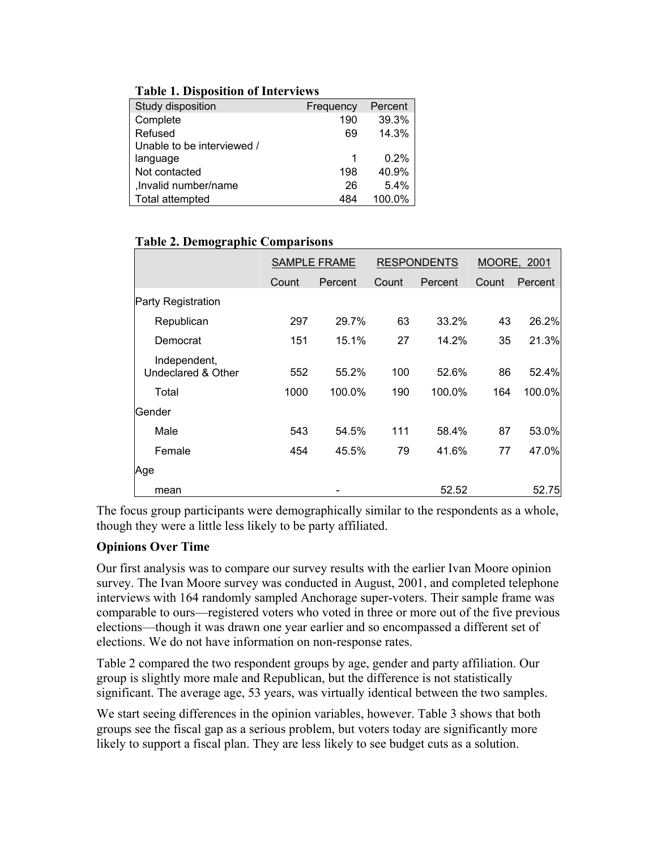| Study disposition          | Frequency | Percent |
|----------------------------|-----------|---------|
| Complete                   | 190       | 39.3%   |
| Refused                    | 69        | 14.3%   |
| Unable to be interviewed / |           |         |
| language                   | 1         | 0.2%    |
| Not contacted              | 198       | 40.9%   |
| , Invalid number/name      | 26        | 5.4%    |
| Total attempted            | 484       | 100.0%  |

## **Table 1. Disposition of Interviews**

# **Table 2. Demographic Comparisons**

|                                    |       | <b>RESPONDENTS</b><br><b>SAMPLE FRAME</b> |       | <b>MOORE, 2001</b> |       |         |
|------------------------------------|-------|-------------------------------------------|-------|--------------------|-------|---------|
|                                    | Count | Percent                                   | Count | Percent            | Count | Percent |
| Party Registration                 |       |                                           |       |                    |       |         |
| Republican                         | 297   | 29.7%                                     | 63    | 33.2%              | 43    | 26.2%   |
| Democrat                           | 151   | 15.1%                                     | 27    | 14.2%              | 35    | 21.3%   |
| Independent,<br>Undeclared & Other | 552   | 55.2%                                     | 100   | 52.6%              | 86    | 52.4%   |
| Total                              | 1000  | 100.0%                                    | 190   | 100.0%             | 164   | 100.0%  |
| Gender                             |       |                                           |       |                    |       |         |
| Male                               | 543   | 54.5%                                     | 111   | 58.4%              | 87    | 53.0%   |
| Female                             | 454   | 45.5%                                     | 79    | 41.6%              | 77    | 47.0%   |
| Age                                |       |                                           |       |                    |       |         |
| mean                               |       |                                           |       | 52.52              |       | 52.75   |

The focus group participants were demographically similar to the respondents as a whole, though they were a little less likely to be party affiliated.

# **Opinions Over Time**

Our first analysis was to compare our survey results with the earlier Ivan Moore opinion survey. The Ivan Moore survey was conducted in August, 2001, and completed telephone interviews with 164 randomly sampled Anchorage super-voters. Their sample frame was comparable to ours—registered voters who voted in three or more out of the five previous elections—though it was drawn one year earlier and so encompassed a different set of elections. We do not have information on non-response rates.

Table 2 compared the two respondent groups by age, gender and party affiliation. Our group is slightly more male and Republican, but the difference is not statistically significant. The average age, 53 years, was virtually identical between the two samples.

We start seeing differences in the opinion variables, however. Table 3 shows that both groups see the fiscal gap as a serious problem, but voters today are significantly more likely to support a fiscal plan. They are less likely to see budget cuts as a solution.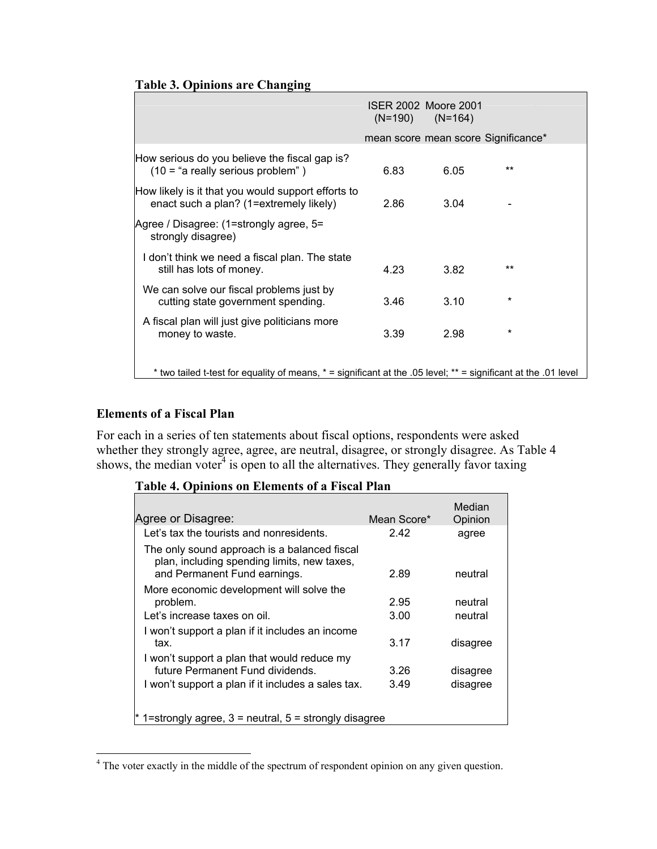# **Table 3. Opinions are Changing**

|                                                                                                              | $(N=190)$ | ISER 2002 Moore 2001<br>$(N=164)$ |                                     |
|--------------------------------------------------------------------------------------------------------------|-----------|-----------------------------------|-------------------------------------|
|                                                                                                              |           |                                   | mean score mean score Significance* |
| How serious do you believe the fiscal gap is?<br>$(10 = "a really serious problem")$                         | 6.83      | 6.05                              | $***$                               |
| How likely is it that you would support efforts to<br>enact such a plan? (1=extremely likely)                | 2.86      | 3.04                              |                                     |
| Agree / Disagree: (1=strongly agree, 5=<br>strongly disagree)                                                |           |                                   |                                     |
| I don't think we need a fiscal plan. The state<br>still has lots of money.                                   | 4.23      | 3.82                              | **                                  |
| We can solve our fiscal problems just by<br>cutting state government spending.                               | 3.46      | 3.10                              | *                                   |
| A fiscal plan will just give politicians more<br>money to waste.                                             | 3.39      | 2.98                              | *                                   |
| two tailed t-test for equality of means, * = significant at the .05 level; ** = significant at the .01 level |           |                                   |                                     |

## **Elements of a Fiscal Plan**

For each in a series of ten statements about fiscal options, respondents were asked whether they strongly agree, agree, are neutral, disagree, or strongly disagree. As Table 4 shows, the median voter $4$  is open to all the alternatives. They generally favor taxing

# **Table 4. Opinions on Elements of a Fiscal Plan**

| Agree or Disagree:                                                                                                                    | Mean Score*  | Median<br>Opinion    |
|---------------------------------------------------------------------------------------------------------------------------------------|--------------|----------------------|
| Let's tax the tourists and nonresidents.                                                                                              | 2.42         | agree                |
| The only sound approach is a balanced fiscal<br>plan, including spending limits, new taxes,<br>and Permanent Fund earnings.           | 2.89         | neutral              |
| More economic development will solve the<br>problem.<br>Let's increase taxes on oil.                                                  | 2.95<br>3.00 | neutral<br>neutral   |
| I won't support a plan if it includes an income<br>tax.                                                                               | 3.17         | disagree             |
| I won't support a plan that would reduce my<br>future Permanent Fund dividends.<br>I won't support a plan if it includes a sales tax. | 3.26<br>3.49 | disagree<br>disagree |
| 1=strongly agree, $3$ = neutral, $5$ = strongly disagree                                                                              |              |                      |

<sup>&</sup>lt;sup>4</sup> The voter exactly in the middle of the spectrum of respondent opinion on any given question.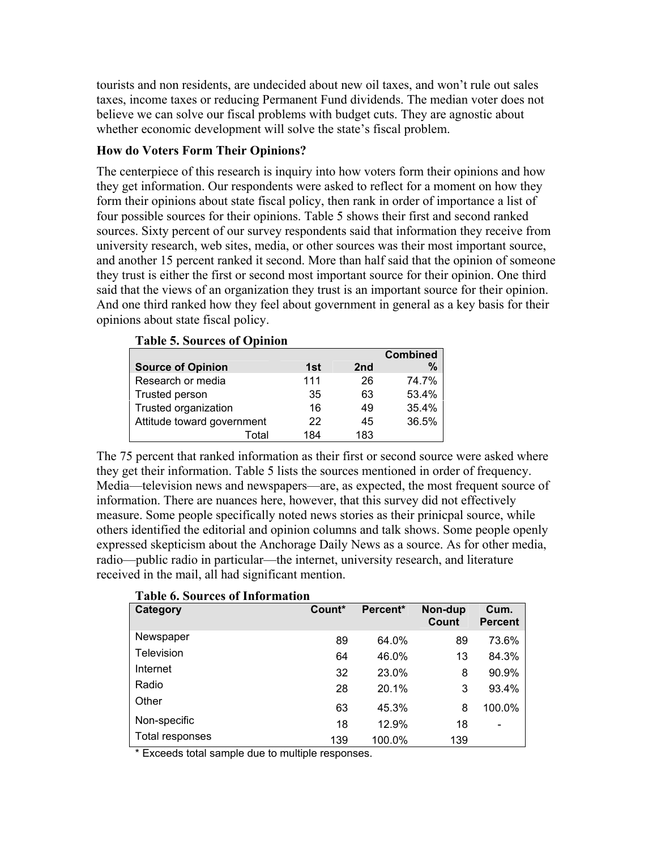tourists and non residents, are undecided about new oil taxes, and won't rule out sales taxes, income taxes or reducing Permanent Fund dividends. The median voter does not believe we can solve our fiscal problems with budget cuts. They are agnostic about whether economic development will solve the state's fiscal problem.

# **How do Voters Form Their Opinions?**

**Table 5. Sources of Opinion** 

The centerpiece of this research is inquiry into how voters form their opinions and how they get information. Our respondents were asked to reflect for a moment on how they form their opinions about state fiscal policy, then rank in order of importance a list of four possible sources for their opinions. Table 5 shows their first and second ranked sources. Sixty percent of our survey respondents said that information they receive from university research, web sites, media, or other sources was their most important source, and another 15 percent ranked it second. More than half said that the opinion of someone they trust is either the first or second most important source for their opinion. One third said that the views of an organization they trust is an important source for their opinion. And one third ranked how they feel about government in general as a key basis for their opinions about state fiscal policy.

| Table 5: Dour ces of Opinion |     |                 |                 |
|------------------------------|-----|-----------------|-----------------|
|                              |     |                 | <b>Combined</b> |
| <b>Source of Opinion</b>     | 1st | 2 <sub>nd</sub> | %               |
| Research or media            | 111 | 26              | 74.7%           |
| Trusted person               | 35  | 63              | 53.4%           |
| Trusted organization         | 16  | 49              | 35.4%           |
| Attitude toward government   | 22  | 45              | 36.5%           |
| Total                        | 184 | 183             |                 |

The 75 percent that ranked information as their first or second source were asked where they get their information. Table 5 lists the sources mentioned in order of frequency.

Media—television news and newspapers—are, as expected, the most frequent source of information. There are nuances here, however, that this survey did not effectively measure. Some people specifically noted news stories as their prinicpal source, while others identified the editorial and opinion columns and talk shows. Some people openly expressed skepticism about the Anchorage Daily News as a source. As for other media, radio—public radio in particular—the internet, university research, and literature received in the mail, all had significant mention.

| Category        | Count* | Percent* | Non-dup<br>Count | Cum.<br><b>Percent</b> |
|-----------------|--------|----------|------------------|------------------------|
| Newspaper       | 89     | 64.0%    | 89               | 73.6%                  |
| Television      | 64     | 46.0%    | 13               | 84.3%                  |
| Internet        | 32     | 23.0%    | 8                | 90.9%                  |
| Radio           | 28     | 20.1%    | 3                | 93.4%                  |
| Other           | 63     | 45.3%    | 8                | 100.0%                 |
| Non-specific    | 18     | 12.9%    | 18               | $\blacksquare$         |
| Total responses | 139    | 100.0%   | 139              |                        |

#### **Table 6. Sources of Information**

\* Exceeds total sample due to multiple responses.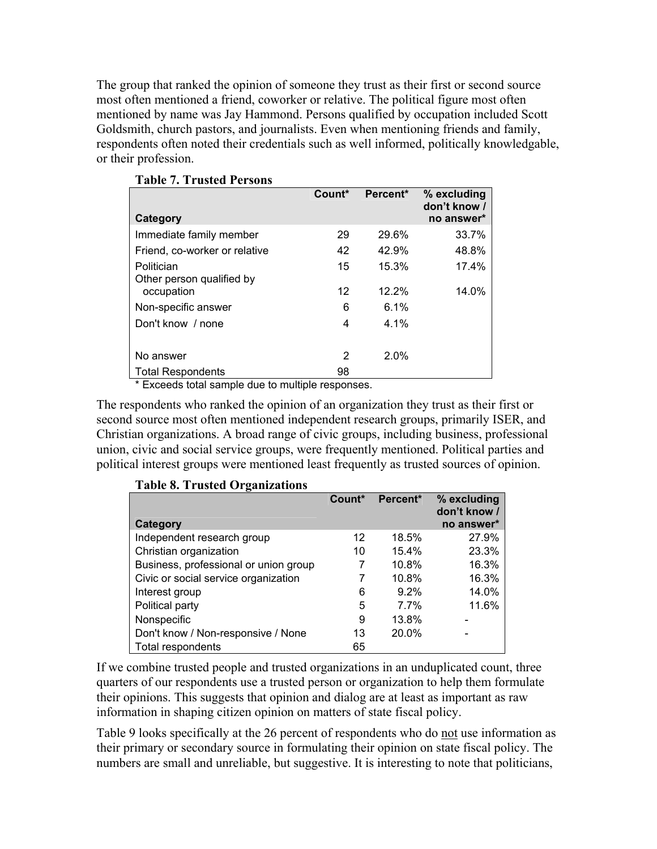The group that ranked the opinion of someone they trust as their first or second source most often mentioned a friend, coworker or relative. The political figure most often mentioned by name was Jay Hammond. Persons qualified by occupation included Scott Goldsmith, church pastors, and journalists. Even when mentioning friends and family, respondents often noted their credentials such as well informed, politically knowledgable, or their profession.

|                               | Count* | Percent* | % excluding<br>don't know / |
|-------------------------------|--------|----------|-----------------------------|
| Category                      |        |          | no answer*                  |
| Immediate family member       | 29     | 29.6%    | 33.7%                       |
| Friend, co-worker or relative | 42     | 42.9%    | 48.8%                       |
| Politician                    | 15     | 15.3%    | 17.4%                       |
| Other person qualified by     |        |          |                             |
| occupation                    | 12     | 12.2%    | 14.0%                       |
| Non-specific answer           | 6      | 6.1%     |                             |
| Don't know / none             | 4      | $4.1\%$  |                             |
|                               |        |          |                             |
| No answer                     | 2      | 2.0%     |                             |
| <b>Total Respondents</b>      | 98     |          |                             |

\* Exceeds total sample due to multiple responses.

The respondents who ranked the opinion of an organization they trust as their first or second source most often mentioned independent research groups, primarily ISER, and Christian organizations. A broad range of civic groups, including business, professional union, civic and social service groups, were frequently mentioned. Political parties and political interest groups were mentioned least frequently as trusted sources of opinion.

| rapic 0. 11 asica Organizations       |        |          |                                           |
|---------------------------------------|--------|----------|-------------------------------------------|
| Category                              | Count* | Percent* | % excluding<br>don't know /<br>no answer* |
| Independent research group            | 12     | 18.5%    | 27.9%                                     |
| Christian organization                | 10     | 15.4%    | 23.3%                                     |
| Business, professional or union group | 7      | 10.8%    | 16.3%                                     |
| Civic or social service organization  | 7      | 10.8%    | 16.3%                                     |
| Interest group                        | 6      | $9.2\%$  | 14.0%                                     |
| Political party                       | 5      | 7.7%     | 11.6%                                     |
| Nonspecific                           | 9      | 13.8%    |                                           |
| Don't know / Non-responsive / None    | 13     | 20.0%    |                                           |
| Total respondents                     | 65     |          |                                           |

**Table 8. Trusted Organizations** 

If we combine trusted people and trusted organizations in an unduplicated count, three quarters of our respondents use a trusted person or organization to help them formulate their opinions. This suggests that opinion and dialog are at least as important as raw information in shaping citizen opinion on matters of state fiscal policy.

Table 9 looks specifically at the 26 percent of respondents who do not use information as their primary or secondary source in formulating their opinion on state fiscal policy. The numbers are small and unreliable, but suggestive. It is interesting to note that politicians,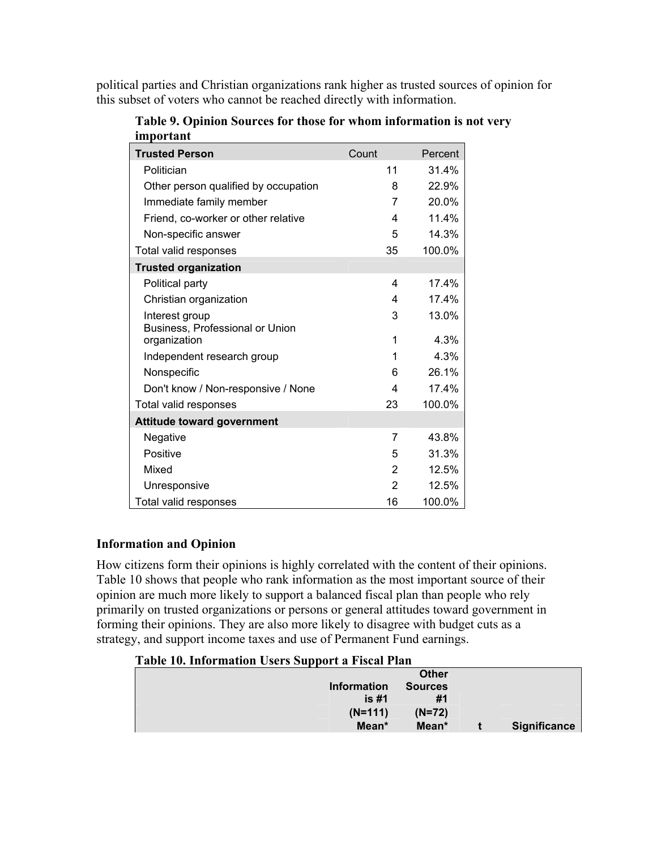political parties and Christian organizations rank higher as trusted sources of opinion for this subset of voters who cannot be reached directly with information.

| <b>Trusted Person</b>                | Count          | Percent |
|--------------------------------------|----------------|---------|
| Politician                           | 11             | 31.4%   |
| Other person qualified by occupation | 8              | 22.9%   |
| Immediate family member              | 7              | 20.0%   |
| Friend, co-worker or other relative  | 4              | 11.4%   |
| Non-specific answer                  | 5              | 14.3%   |
| Total valid responses                | 35             | 100.0%  |
| <b>Trusted organization</b>          |                |         |
| Political party                      | 4              | 17.4%   |
| Christian organization               | 4              | 17.4%   |
| Interest group                       | 3              | 13.0%   |
| Business, Professional or Union      |                |         |
| organization                         | 1              | 4.3%    |
| Independent research group           | 1              | 4.3%    |
| Nonspecific                          | 6              | 26.1%   |
| Don't know / Non-responsive / None   | 4              | 17.4%   |
| Total valid responses                | 23             | 100.0%  |
| <b>Attitude toward government</b>    |                |         |
| Negative                             | 7              | 43.8%   |
| Positive                             | 5              | 31.3%   |
| Mixed                                | $\overline{2}$ | 12.5%   |
| Unresponsive                         | 2              | 12.5%   |
| Total valid responses                | 16             | 100.0%  |

**Table 9. Opinion Sources for those for whom information is not very important** 

# **Information and Opinion**

How citizens form their opinions is highly correlated with the content of their opinions. Table 10 shows that people who rank information as the most important source of their opinion are much more likely to support a balanced fiscal plan than people who rely primarily on trusted organizations or persons or general attitudes toward government in forming their opinions. They are also more likely to disagree with budget cuts as a strategy, and support income taxes and use of Permanent Fund earnings.

## **Table 10. Information Users Support a Fiscal Plan**

| <b>Information</b> | <b>Other</b><br><b>Sources</b><br>is #1 | #1 |              |
|--------------------|-----------------------------------------|----|--------------|
|                    | $(N=111)$<br>$(N=72)$                   |    |              |
|                    | Mean*<br>Mean*                          |    | Significance |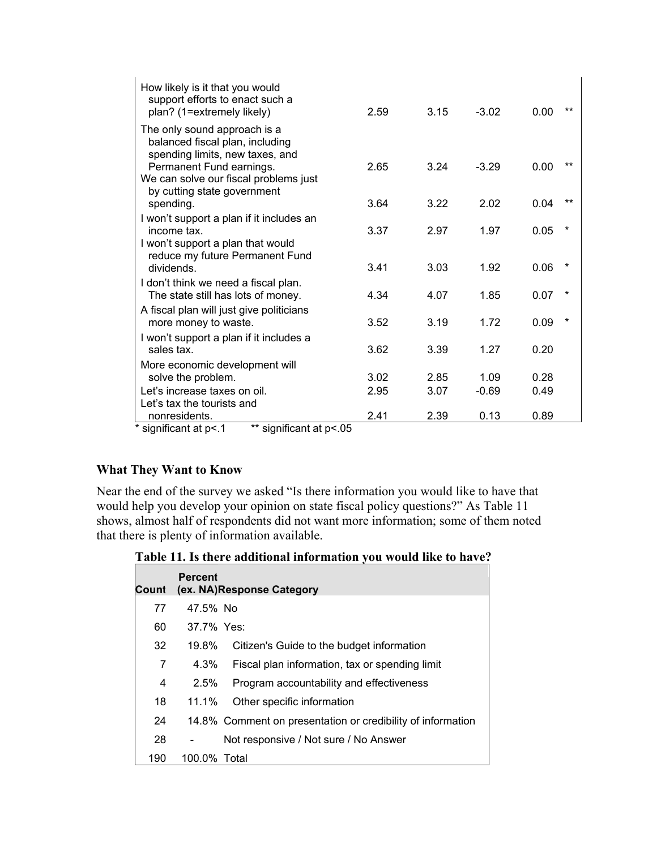| How likely is it that you would<br>support efforts to enact such a<br>plan? (1=extremely likely)   | 2.59 | 3.15 | $-3.02$ | 0.00 | $***$ |
|----------------------------------------------------------------------------------------------------|------|------|---------|------|-------|
| The only sound approach is a<br>balanced fiscal plan, including<br>spending limits, new taxes, and |      |      |         |      |       |
| Permanent Fund earnings.<br>We can solve our fiscal problems just<br>by cutting state government   | 2.65 | 3.24 | $-3.29$ | 0.00 | **    |
| spending.                                                                                          | 3.64 | 3.22 | 2.02    | 0.04 | $***$ |
| I won't support a plan if it includes an<br>income tax.                                            | 3.37 | 2.97 | 1.97    | 0.05 |       |
| I won't support a plan that would<br>reduce my future Permanent Fund<br>dividends.                 | 3.41 | 3.03 | 1.92    | 0.06 |       |
| I don't think we need a fiscal plan.                                                               |      |      |         |      |       |
| The state still has lots of money.                                                                 | 4.34 | 4.07 | 1.85    | 0.07 |       |
| A fiscal plan will just give politicians                                                           |      |      |         |      |       |
| more money to waste.                                                                               | 3.52 | 3.19 | 1.72    | 0.09 |       |
| I won't support a plan if it includes a                                                            |      |      |         |      |       |
| sales tax.                                                                                         | 3.62 | 3.39 | 1.27    | 0.20 |       |
| More economic development will                                                                     |      |      |         |      |       |
| solve the problem.                                                                                 | 3.02 | 2.85 | 1.09    | 0.28 |       |
| Let's increase taxes on oil.                                                                       | 2.95 | 3.07 | $-0.69$ | 0.49 |       |
| Let's tax the tourists and                                                                         |      |      |         |      |       |
| nonresidents.                                                                                      | 2.41 | 2.39 | 0.13    | 0.89 |       |
| * significant at p<.1<br>** significant at p<.05                                                   |      |      |         |      |       |

# **What They Want to Know**

Near the end of the survey we asked "Is there information you would like to have that would help you develop your opinion on state fiscal policy questions?" As Table 11 shows, almost half of respondents did not want more information; some of them noted that there is plenty of information available.

**Table 11. Is there additional information you would like to have?** 

| Count          | <b>Percent</b> | (ex. NA)Response Category                                   |
|----------------|----------------|-------------------------------------------------------------|
| 77             | 47.5% No       |                                                             |
| 60             | 37.7% Yes:     |                                                             |
| 32             | 19.8%          | Citizen's Guide to the budget information                   |
| 7              | 4.3%           | Fiscal plan information, tax or spending limit              |
| $\overline{4}$ | $2.5\%$        | Program accountability and effectiveness                    |
| 18             | 11.1%          | Other specific information                                  |
| 24             |                | 14.8% Comment on presentation or credibility of information |
| 28             |                | Not responsive / Not sure / No Answer                       |
| 190            | 100.0% Total   |                                                             |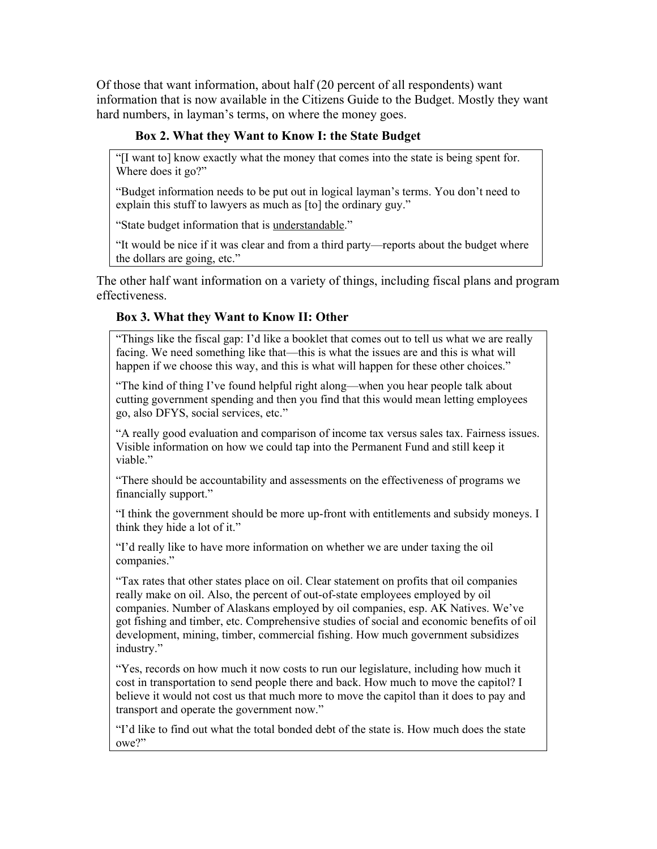Of those that want information, about half (20 percent of all respondents) want information that is now available in the Citizens Guide to the Budget. Mostly they want hard numbers, in layman's terms, on where the money goes.

# **Box 2. What they Want to Know I: the State Budget**

"[I want to] know exactly what the money that comes into the state is being spent for. Where does it go?"

"Budget information needs to be put out in logical layman's terms. You don't need to explain this stuff to lawyers as much as [to] the ordinary guy."

"State budget information that is understandable."

"It would be nice if it was clear and from a third party—reports about the budget where the dollars are going, etc."

The other half want information on a variety of things, including fiscal plans and program effectiveness.

# **Box 3. What they Want to Know II: Other**

"Things like the fiscal gap: I'd like a booklet that comes out to tell us what we are really facing. We need something like that—this is what the issues are and this is what will happen if we choose this way, and this is what will happen for these other choices."

"The kind of thing I've found helpful right along—when you hear people talk about cutting government spending and then you find that this would mean letting employees go, also DFYS, social services, etc."

"A really good evaluation and comparison of income tax versus sales tax. Fairness issues. Visible information on how we could tap into the Permanent Fund and still keep it viable."

"There should be accountability and assessments on the effectiveness of programs we financially support."

"I think the government should be more up-front with entitlements and subsidy moneys. I think they hide a lot of it."

"I'd really like to have more information on whether we are under taxing the oil companies."

"Tax rates that other states place on oil. Clear statement on profits that oil companies really make on oil. Also, the percent of out-of-state employees employed by oil companies. Number of Alaskans employed by oil companies, esp. AK Natives. We've got fishing and timber, etc. Comprehensive studies of social and economic benefits of oil development, mining, timber, commercial fishing. How much government subsidizes industry."

"Yes, records on how much it now costs to run our legislature, including how much it cost in transportation to send people there and back. How much to move the capitol? I believe it would not cost us that much more to move the capitol than it does to pay and transport and operate the government now."

"I'd like to find out what the total bonded debt of the state is. How much does the state owe?"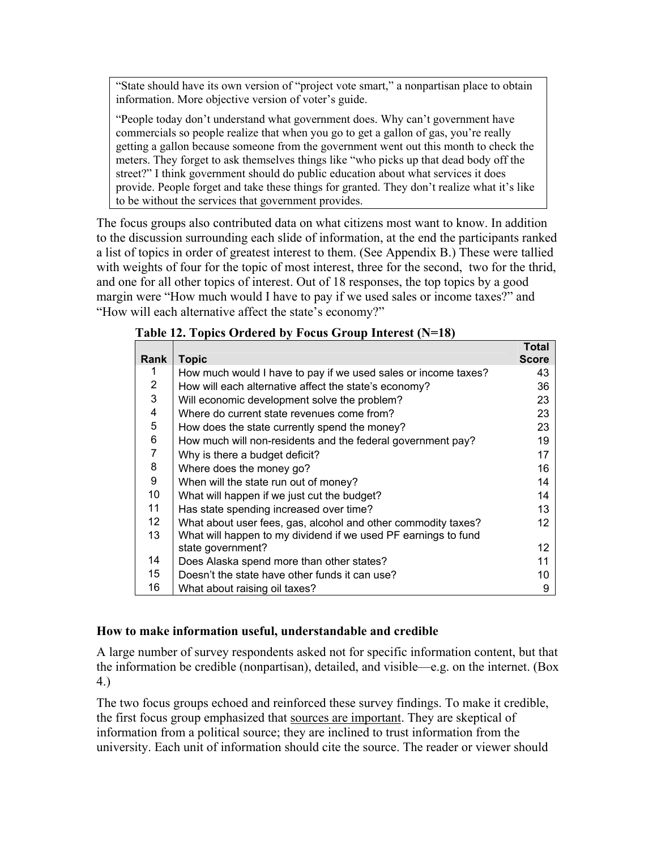"State should have its own version of "project vote smart," a nonpartisan place to obtain information. More objective version of voter's guide.

"People today don't understand what government does. Why can't government have commercials so people realize that when you go to get a gallon of gas, you're really getting a gallon because someone from the government went out this month to check the meters. They forget to ask themselves things like "who picks up that dead body off the street?" I think government should do public education about what services it does provide. People forget and take these things for granted. They don't realize what it's like to be without the services that government provides.

The focus groups also contributed data on what citizens most want to know. In addition to the discussion surrounding each slide of information, at the end the participants ranked a list of topics in order of greatest interest to them. (See Appendix B.) These were tallied with weights of four for the topic of most interest, three for the second, two for the thrid, and one for all other topics of interest. Out of 18 responses, the top topics by a good margin were "How much would I have to pay if we used sales or income taxes?" and "How will each alternative affect the state's economy?"

|                         |                                                                | Total        |
|-------------------------|----------------------------------------------------------------|--------------|
| Rank                    | <b>Topic</b>                                                   | <b>Score</b> |
| 1                       | How much would I have to pay if we used sales or income taxes? | 43           |
| $\overline{2}$          | How will each alternative affect the state's economy?          | 36           |
| 3                       | Will economic development solve the problem?                   | 23           |
| $\overline{\mathbf{4}}$ | Where do current state revenues come from?                     | 23           |
| 5                       | How does the state currently spend the money?                  | 23           |
| 6                       | How much will non-residents and the federal government pay?    | 19           |
| $\overline{7}$          | Why is there a budget deficit?                                 | 17           |
| 8                       | Where does the money go?                                       | 16           |
| 9                       | When will the state run out of money?                          | 14           |
| 10                      | What will happen if we just cut the budget?                    | 14           |
| 11                      | Has state spending increased over time?                        | 13           |
| 12 <sup>2</sup>         | What about user fees, gas, alcohol and other commodity taxes?  | 12           |
| 13                      | What will happen to my dividend if we used PF earnings to fund |              |
|                         | state government?                                              | 12           |
| 14                      | Does Alaska spend more than other states?                      | 11           |
| 15                      | Doesn't the state have other funds it can use?                 | 10           |
| 16                      | What about raising oil taxes?                                  | 9            |

**Table 12. Topics Ordered by Focus Group Interest (N=18)** 

# **How to make information useful, understandable and credible**

A large number of survey respondents asked not for specific information content, but that the information be credible (nonpartisan), detailed, and visible—e.g. on the internet. (Box 4.)

The two focus groups echoed and reinforced these survey findings. To make it credible, the first focus group emphasized that sources are important. They are skeptical of information from a political source; they are inclined to trust information from the university. Each unit of information should cite the source. The reader or viewer should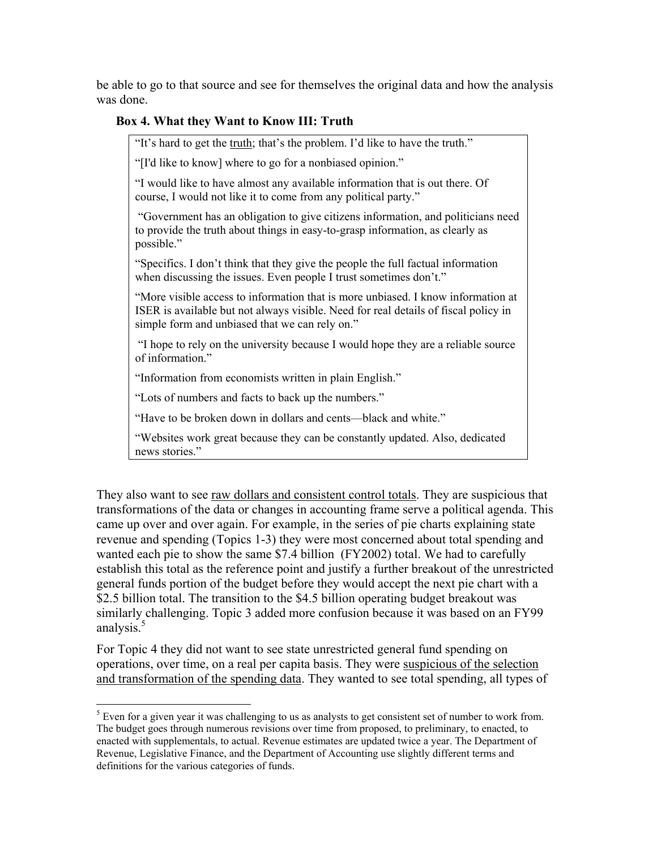be able to go to that source and see for themselves the original data and how the analysis was done.

# **Box 4. What they Want to Know III: Truth**

"It's hard to get the truth; that's the problem. I'd like to have the truth."

"[I'd like to know] where to go for a nonbiased opinion."

"I would like to have almost any available information that is out there. Of course, I would not like it to come from any political party."

 "Government has an obligation to give citizens information, and politicians need to provide the truth about things in easy-to-grasp information, as clearly as possible."

"Specifics. I don't think that they give the people the full factual information when discussing the issues. Even people I trust sometimes don't."

"More visible access to information that is more unbiased. I know information at ISER is available but not always visible. Need for real details of fiscal policy in simple form and unbiased that we can rely on."

 "I hope to rely on the university because I would hope they are a reliable source of information."

"Information from economists written in plain English."

"Lots of numbers and facts to back up the numbers."

 $\overline{a}$ 

"Have to be broken down in dollars and cents—black and white."

"Websites work great because they can be constantly updated. Also, dedicated news stories."

They also want to see raw dollars and consistent control totals. They are suspicious that transformations of the data or changes in accounting frame serve a political agenda. This came up over and over again. For example, in the series of pie charts explaining state revenue and spending (Topics 1-3) they were most concerned about total spending and wanted each pie to show the same \$7.4 billion (FY2002) total. We had to carefully establish this total as the reference point and justify a further breakout of the unrestricted general funds portion of the budget before they would accept the next pie chart with a \$2.5 billion total. The transition to the \$4.5 billion operating budget breakout was similarly challenging. Topic 3 added more confusion because it was based on an FY99 analysis. $5$ 

For Topic 4 they did not want to see state unrestricted general fund spending on operations, over time, on a real per capita basis. They were suspicious of the selection and transformation of the spending data. They wanted to see total spending, all types of

 $<sup>5</sup>$  Even for a given year it was challenging to us as analysts to get consistent set of number to work from.</sup> The budget goes through numerous revisions over time from proposed, to preliminary, to enacted, to enacted with supplementals, to actual. Revenue estimates are updated twice a year. The Department of Revenue, Legislative Finance, and the Department of Accounting use slightly different terms and definitions for the various categories of funds.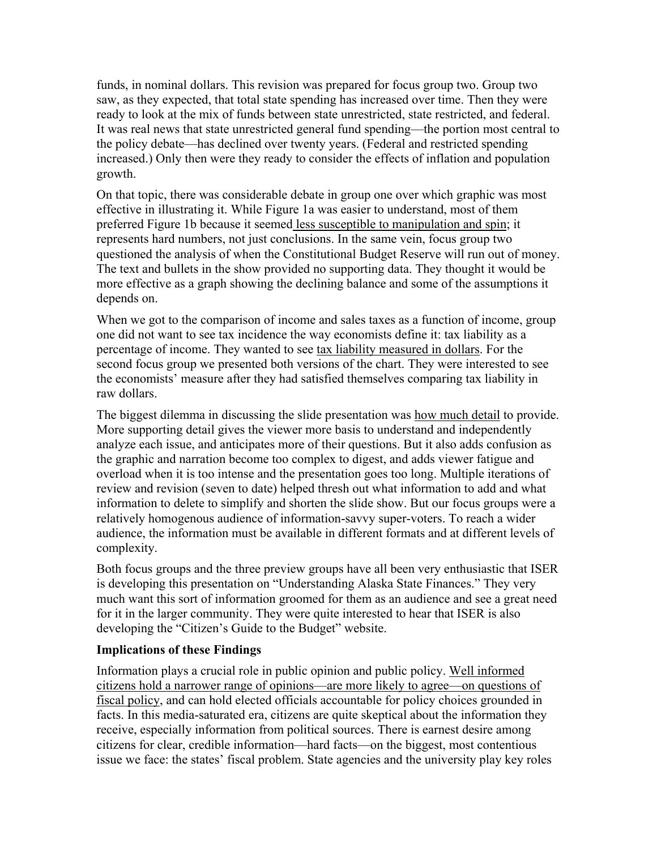funds, in nominal dollars. This revision was prepared for focus group two. Group two saw, as they expected, that total state spending has increased over time. Then they were ready to look at the mix of funds between state unrestricted, state restricted, and federal. It was real news that state unrestricted general fund spending—the portion most central to the policy debate—has declined over twenty years. (Federal and restricted spending increased.) Only then were they ready to consider the effects of inflation and population growth.

On that topic, there was considerable debate in group one over which graphic was most effective in illustrating it. While Figure 1a was easier to understand, most of them preferred Figure 1b because it seemed less susceptible to manipulation and spin; it represents hard numbers, not just conclusions. In the same vein, focus group two questioned the analysis of when the Constitutional Budget Reserve will run out of money. The text and bullets in the show provided no supporting data. They thought it would be more effective as a graph showing the declining balance and some of the assumptions it depends on.

When we got to the comparison of income and sales taxes as a function of income, group one did not want to see tax incidence the way economists define it: tax liability as a percentage of income. They wanted to see tax liability measured in dollars. For the second focus group we presented both versions of the chart. They were interested to see the economists' measure after they had satisfied themselves comparing tax liability in raw dollars.

The biggest dilemma in discussing the slide presentation was how much detail to provide. More supporting detail gives the viewer more basis to understand and independently analyze each issue, and anticipates more of their questions. But it also adds confusion as the graphic and narration become too complex to digest, and adds viewer fatigue and overload when it is too intense and the presentation goes too long. Multiple iterations of review and revision (seven to date) helped thresh out what information to add and what information to delete to simplify and shorten the slide show. But our focus groups were a relatively homogenous audience of information-savvy super-voters. To reach a wider audience, the information must be available in different formats and at different levels of complexity.

Both focus groups and the three preview groups have all been very enthusiastic that ISER is developing this presentation on "Understanding Alaska State Finances." They very much want this sort of information groomed for them as an audience and see a great need for it in the larger community. They were quite interested to hear that ISER is also developing the "Citizen's Guide to the Budget" website.

## **Implications of these Findings**

Information plays a crucial role in public opinion and public policy. Well informed citizens hold a narrower range of opinions—are more likely to agree—on questions of fiscal policy, and can hold elected officials accountable for policy choices grounded in facts. In this media-saturated era, citizens are quite skeptical about the information they receive, especially information from political sources. There is earnest desire among citizens for clear, credible information—hard facts—on the biggest, most contentious issue we face: the states' fiscal problem. State agencies and the university play key roles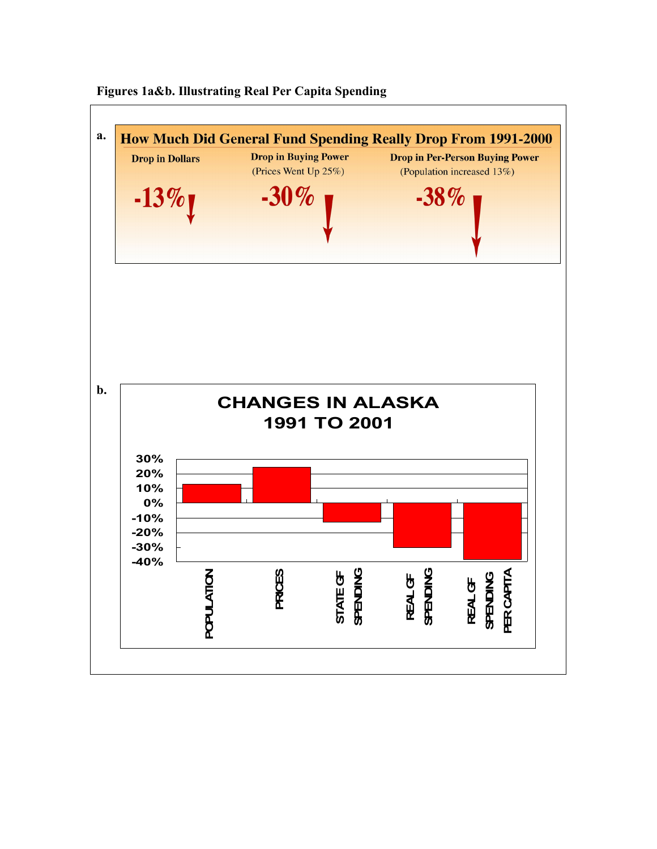

**Figures 1a&b. Illustrating Real Per Capita Spending**